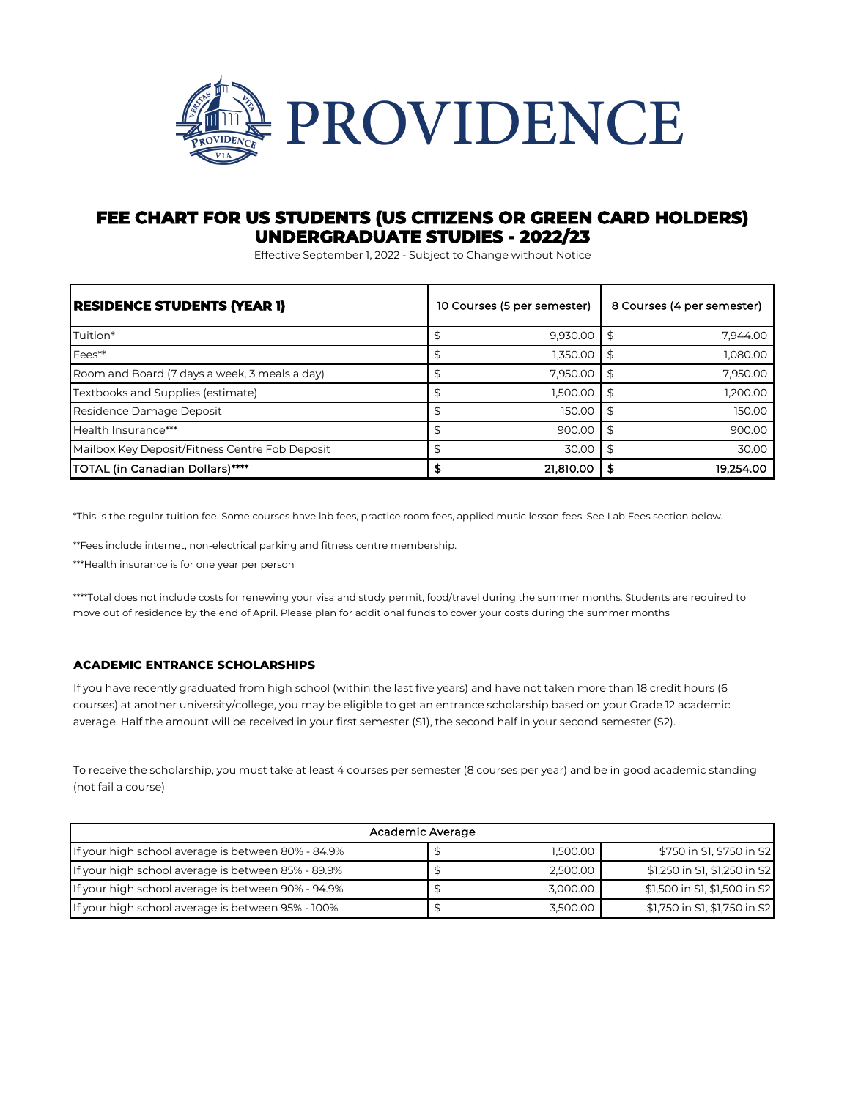

## **FEE CHART FOR US STUDENTS (US CITIZENS OR GREEN CARD HOLDERS) UNDERGRADUATE STUDIES - 2022/23**

Effective September 1, 2022 - Subject to Change without Notice

| RESIDENCE STUDENTS (YEAR 1)                    | 10 Courses (5 per semester) |    | 8 Courses (4 per semester) |
|------------------------------------------------|-----------------------------|----|----------------------------|
| Tuition*                                       | 9.930.00                    | \$ | 7.944.00                   |
| Fees**                                         | 1.350.00                    | S  | 1.080.00                   |
| Room and Board (7 days a week, 3 meals a day)  | 7.950.00                    | \$ | 7,950.00                   |
| Textbooks and Supplies (estimate)              | 1.500.00                    | S  | 1.200.00                   |
| Residence Damage Deposit                       | 150.00                      | \$ | 150.00                     |
| Health Insurance***                            | 900.00                      | \$ | 900.00                     |
| Mailbox Key Deposit/Fitness Centre Fob Deposit | 30.00                       | \$ | 30.00                      |
| TOTAL (in Canadian Dollars)****                | 21,810.00                   |    | 19.254.00                  |

\*This is the regular tuition fee. Some courses have lab fees, practice room fees, applied music lesson fees. See Lab Fees section below.

\*\*Fees include internet, non-electrical parking and fitness centre membership.

\*\*\*Health insurance is for one year per person

\*\*\*\*Total does not include costs for renewing your visa and study permit, food/travel during the summer months. Students are required to move out of residence by the end of April. Please plan for additional funds to cover your costs during the summer months

## **ACADEMIC ENTRANCE SCHOLARSHIPS**

If you have recently graduated from high school (within the last five years) and have not taken more than 18 credit hours (6 courses) at another university/college, you may be eligible to get an entrance scholarship based on your Grade 12 academic average. Half the amount will be received in your first semester (S1), the second half in your second semester (S2).

To receive the scholarship, you must take at least 4 courses per semester (8 courses per year) and be in good academic standing (not fail a course)

| Academic Average                                   |  |          |                              |  |  |  |
|----------------------------------------------------|--|----------|------------------------------|--|--|--|
| If your high school average is between 80% - 84.9% |  | 1,500.00 | \$750 in S1, \$750 in S2     |  |  |  |
| If your high school average is between 85% - 89.9% |  | 2.500.00 | \$1,250 in S1, \$1,250 in S2 |  |  |  |
| If your high school average is between 90% - 94.9% |  | 3.000.00 | \$1,500 in S1, \$1,500 in S2 |  |  |  |
| If your high school average is between 95% - 100%  |  | 3,500.00 | \$1,750 in S1, \$1,750 in S2 |  |  |  |